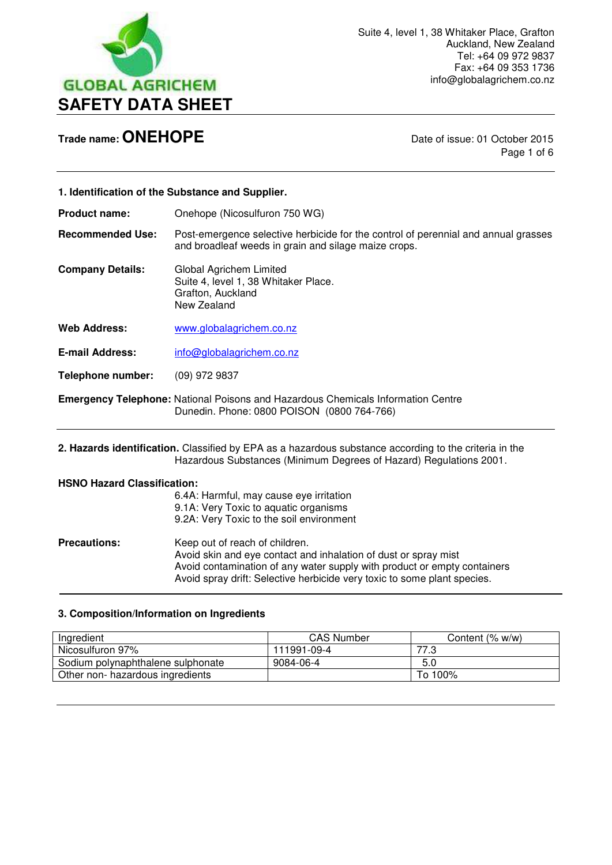

Page 1 of 6

| 1. Identification of the Substance and Supplier. |                                                                                                                                            |
|--------------------------------------------------|--------------------------------------------------------------------------------------------------------------------------------------------|
| <b>Product name:</b>                             | Onehope (Nicosulfuron 750 WG)                                                                                                              |
| <b>Recommended Use:</b>                          | Post-emergence selective herbicide for the control of perennial and annual grasses<br>and broadleaf weeds in grain and silage maize crops. |
| <b>Company Details:</b>                          | Global Agrichem Limited<br>Suite 4, level 1, 38 Whitaker Place.<br>Grafton, Auckland<br>New Zealand                                        |
| <b>Web Address:</b>                              | www.globalagrichem.co.nz                                                                                                                   |
| <b>E-mail Address:</b>                           | info@globalagrichem.co.nz                                                                                                                  |
| Telephone number:                                | $(09)$ 972 9837                                                                                                                            |
|                                                  | <b>Emergency Telephone:</b> National Poisons and Hazardous Chemicals Information Centre<br>Dunedin. Phone: 0800 POISON (0800 764-766)      |

**2. Hazards identification.** Classified by EPA as a hazardous substance according to the criteria in the Hazardous Substances (Minimum Degrees of Hazard) Regulations 2001.

#### **HSNO Hazard Classification:**

L

|                     | 6.4A: Harmful, may cause eye irritation<br>9.1A: Very Toxic to aquatic organisms<br>9.2A: Very Toxic to the soil environment                                                                                                                              |
|---------------------|-----------------------------------------------------------------------------------------------------------------------------------------------------------------------------------------------------------------------------------------------------------|
| <b>Precautions:</b> | Keep out of reach of children.<br>Avoid skin and eye contact and inhalation of dust or spray mist<br>Avoid contamination of any water supply with product or empty containers<br>Avoid spray drift: Selective herbicide very toxic to some plant species. |

#### **3. Composition/Information on Ingredients**

| Ingredient                        | <b>CAS Number</b> | Content (% w/w) |
|-----------------------------------|-------------------|-----------------|
| Nicosulfuron 97%                  | 111991-09-4       | 77.ა            |
| Sodium polynaphthalene sulphonate | 9084-06-4         | 5.0             |
| Other non- hazardous ingredients  |                   | To 100%         |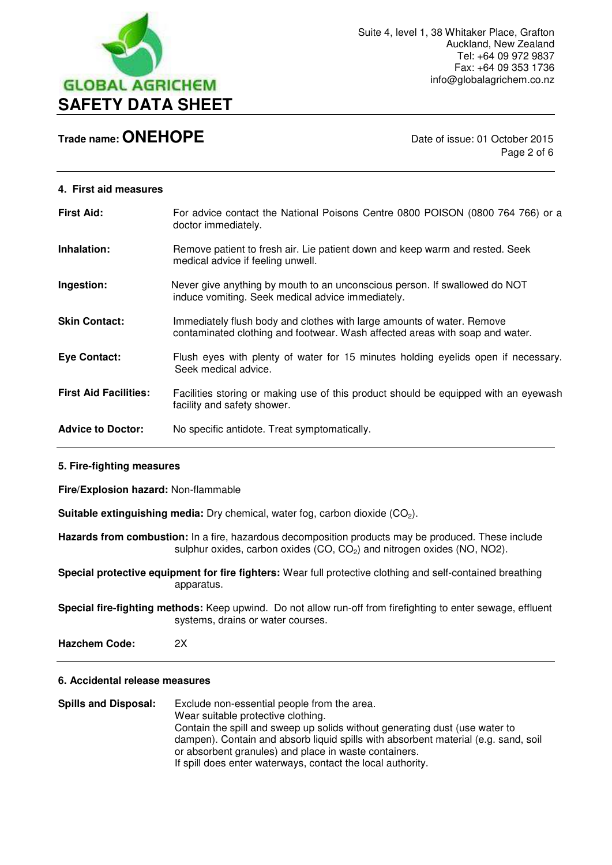

Page 2 of 6

#### **4. First aid measures**

| <b>First Aid:</b>            | For advice contact the National Poisons Centre 0800 POISON (0800 764 766) or a<br>doctor immediately.                                                  |
|------------------------------|--------------------------------------------------------------------------------------------------------------------------------------------------------|
| Inhalation:                  | Remove patient to fresh air. Lie patient down and keep warm and rested. Seek<br>medical advice if feeling unwell.                                      |
| Ingestion:                   | Never give anything by mouth to an unconscious person. If swallowed do NOT<br>induce vomiting. Seek medical advice immediately.                        |
| <b>Skin Contact:</b>         | Immediately flush body and clothes with large amounts of water. Remove<br>contaminated clothing and footwear. Wash affected areas with soap and water. |
| <b>Eye Contact:</b>          | Flush eyes with plenty of water for 15 minutes holding eyelids open if necessary.<br>Seek medical advice.                                              |
| <b>First Aid Facilities:</b> | Facilities storing or making use of this product should be equipped with an eyewash<br>facility and safety shower.                                     |
| <b>Advice to Doctor:</b>     | No specific antidote. Treat symptomatically.                                                                                                           |

#### **5. Fire-fighting measures**

**Fire/Explosion hazard:** Non-flammable

**Suitable extinguishing media:** Dry chemical, water fog, carbon dioxide (CO<sub>2</sub>).

**Hazards from combustion:** In a fire, hazardous decomposition products may be produced. These include sulphur oxides, carbon oxides  $(CO, CO<sub>2</sub>)$  and nitrogen oxides  $(NO, NO2)$ .

**Special protective equipment for fire fighters:** Wear full protective clothing and self-contained breathing apparatus.

**Special fire-fighting methods:** Keep upwind. Do not allow run-off from firefighting to enter sewage, effluent systems, drains or water courses.

**Hazchem Code:** 2X

#### **6. Accidental release measures**

**Spills and Disposal:** Exclude non-essential people from the area. Wear suitable protective clothing. Contain the spill and sweep up solids without generating dust (use water to dampen). Contain and absorb liquid spills with absorbent material (e.g. sand, soil or absorbent granules) and place in waste containers. If spill does enter waterways, contact the local authority.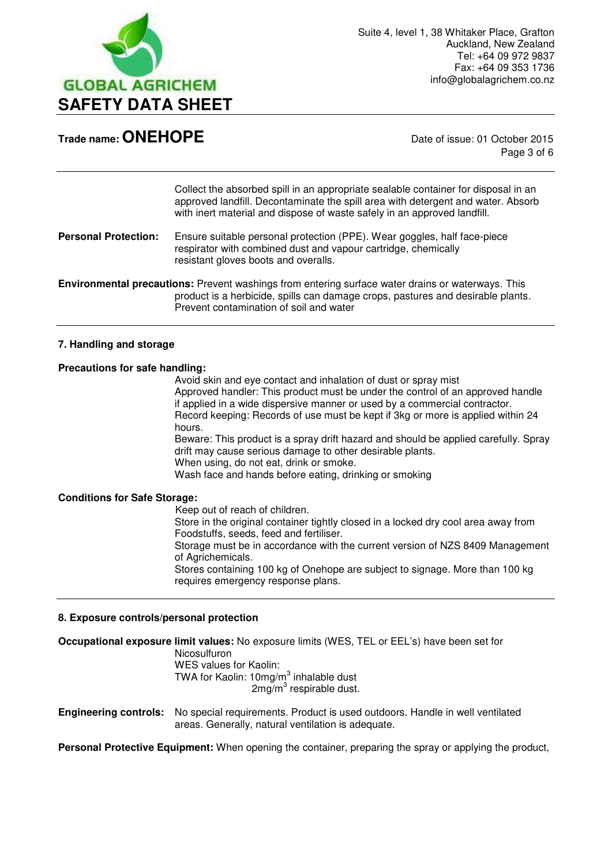

Page 3 of 6

Collect the absorbed spill in an appropriate sealable container for disposal in an approved landfill. Decontaminate the spill area with detergent and water. Absorb with inert material and dispose of waste safely in an approved landfill.

#### **Personal Protection:** Ensure suitable personal protection (PPE). Wear goggles, half face-piece respirator with combined dust and vapour cartridge, chemically resistant gloves boots and overalls.

**Environmental precautions:** Prevent washings from entering surface water drains or waterways. This product is a herbicide, spills can damage crops, pastures and desirable plants. Prevent contamination of soil and water

#### **7. Handling and storage**

#### **Precautions for safe handling:**

Avoid skin and eye contact and inhalation of dust or spray mist Approved handler: This product must be under the control of an approved handle if applied in a wide dispersive manner or used by a commercial contractor. Record keeping: Records of use must be kept if 3kg or more is applied within 24 hours.

 Beware: This product is a spray drift hazard and should be applied carefully. Spray drift may cause serious damage to other desirable plants. When using, do not eat, drink or smoke.

Wash face and hands before eating, drinking or smoking

#### **Conditions for Safe Storage:**

Keep out of reach of children.

 Store in the original container tightly closed in a locked dry cool area away from Foodstuffs, seeds, feed and fertiliser.

 Storage must be in accordance with the current version of NZS 8409 Management of Agrichemicals.

 Stores containing 100 kg of Onehope are subject to signage. More than 100 kg requires emergency response plans.

#### **8. Exposure controls/personal protection**

**Occupational exposure limit values:** No exposure limits (WES, TEL or EEL's) have been set for Nicosulfuron WES values for Kaolin: TWA for Kaolin:  $10$ mg/m $^3$  inhalable dust  $2$ mg/m $3$  respirable dust.

**Engineering controls:** No special requirements. Product is used outdoors. Handle in well ventilated areas. Generally, natural ventilation is adequate.

**Personal Protective Equipment:** When opening the container, preparing the spray or applying the product,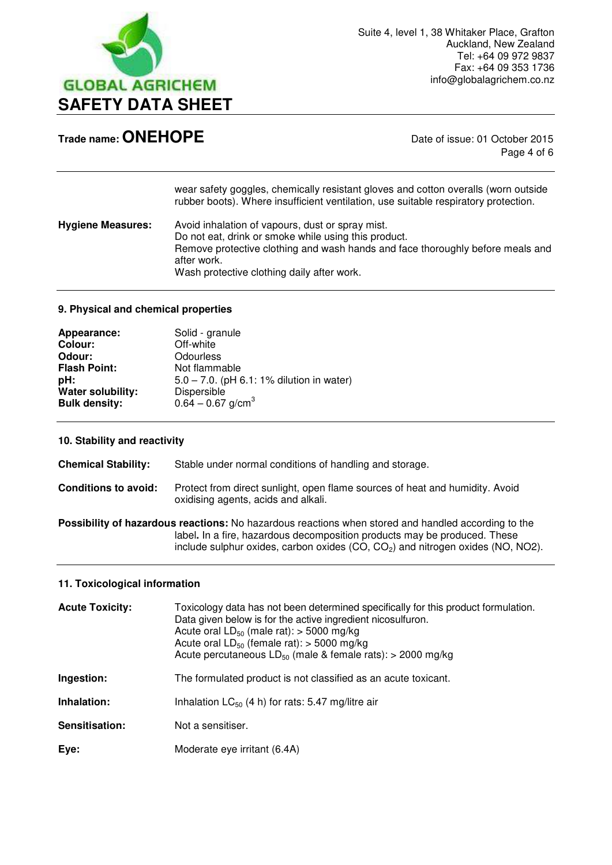

Page 4 of 6

|                          | wear safety goggles, chemically resistant gloves and cotton overalls (worn outside<br>rubber boots). Where insufficient ventilation, use suitable respiratory protection.                                                                               |
|--------------------------|---------------------------------------------------------------------------------------------------------------------------------------------------------------------------------------------------------------------------------------------------------|
| <b>Hygiene Measures:</b> | Avoid inhalation of vapours, dust or spray mist.<br>Do not eat, drink or smoke while using this product.<br>Remove protective clothing and wash hands and face thoroughly before meals and<br>after work.<br>Wash protective clothing daily after work. |

#### **9. Physical and chemical properties**

| Appearance:              | Solid - granule                              |
|--------------------------|----------------------------------------------|
| Colour:                  | Off-white                                    |
| Odour:                   | Odourless                                    |
| <b>Flash Point:</b>      | Not flammable                                |
| pH:                      | $5.0 - 7.0$ . (pH 6.1: 1% dilution in water) |
| <b>Water solubility:</b> | Dispersible                                  |
| <b>Bulk density:</b>     | $0.64 - 0.67$ g/cm <sup>3</sup>              |

#### **10. Stability and reactivity**

| <b>Chemical Stability:</b>  | Stable under normal conditions of handling and storage.                                                                                                                                                                                                                 |
|-----------------------------|-------------------------------------------------------------------------------------------------------------------------------------------------------------------------------------------------------------------------------------------------------------------------|
| <b>Conditions to avoid:</b> | Protect from direct sunlight, open flame sources of heat and humidity. Avoid<br>oxidising agents, acids and alkali.                                                                                                                                                     |
|                             | Possibility of hazardous reactions: No hazardous reactions when stored and handled according to the<br>label. In a fire, hazardous decomposition products may be produced. These<br>include sulphur oxides, carbon oxides $(CO, CO2)$ and nitrogen oxides $(NO, NO2)$ . |

#### **11. Toxicological information**

| <b>Acute Toxicity:</b> | Toxicology data has not been determined specifically for this product formulation.<br>Data given below is for the active ingredient nicosulfuron.<br>Acute oral $LD_{50}$ (male rat): > 5000 mg/kg<br>Acute oral $LD_{50}$ (female rat): > 5000 mg/kg<br>Acute percutaneous $LD_{50}$ (male & female rats): > 2000 mg/kg |
|------------------------|--------------------------------------------------------------------------------------------------------------------------------------------------------------------------------------------------------------------------------------------------------------------------------------------------------------------------|
| Ingestion:             | The formulated product is not classified as an acute toxicant.                                                                                                                                                                                                                                                           |
| Inhalation:            | Inhalation $LC_{50}$ (4 h) for rats: 5.47 mg/litre air                                                                                                                                                                                                                                                                   |
| Sensitisation:         | Not a sensitiser.                                                                                                                                                                                                                                                                                                        |
| Eye:                   | Moderate eye irritant (6.4A)                                                                                                                                                                                                                                                                                             |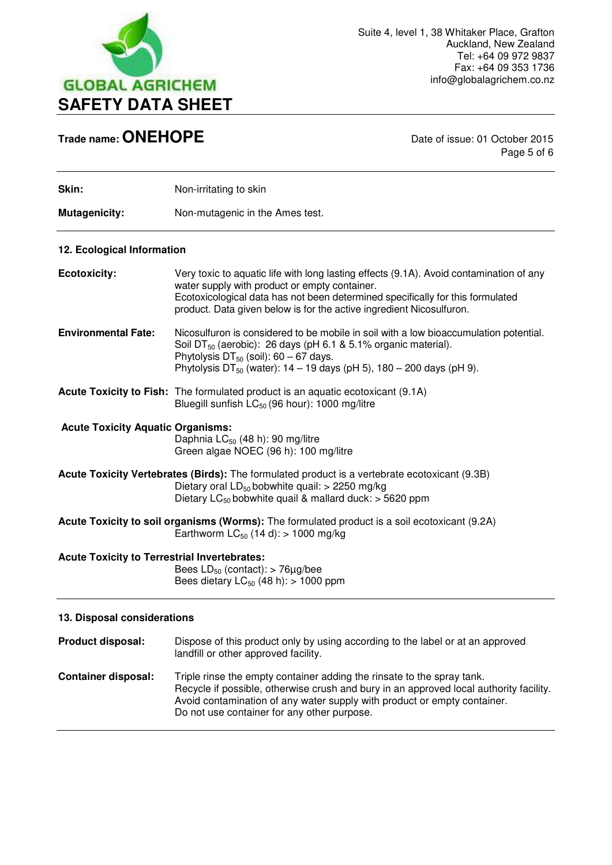

Page 5 of 6

| Skin:                                                                                                                                                                                                                        | Non-irritating to skin                                                                                                                                                                                                                                                                                    |
|------------------------------------------------------------------------------------------------------------------------------------------------------------------------------------------------------------------------------|-----------------------------------------------------------------------------------------------------------------------------------------------------------------------------------------------------------------------------------------------------------------------------------------------------------|
| <b>Mutagenicity:</b>                                                                                                                                                                                                         | Non-mutagenic in the Ames test.                                                                                                                                                                                                                                                                           |
| 12. Ecological Information                                                                                                                                                                                                   |                                                                                                                                                                                                                                                                                                           |
| <b>Ecotoxicity:</b>                                                                                                                                                                                                          | Very toxic to aquatic life with long lasting effects (9.1A). Avoid contamination of any<br>water supply with product or empty container.<br>Ecotoxicological data has not been determined specifically for this formulated<br>product. Data given below is for the active ingredient Nicosulfuron.        |
| <b>Environmental Fate:</b>                                                                                                                                                                                                   | Nicosulfuron is considered to be mobile in soil with a low bioaccumulation potential.<br>Soil DT <sub>50</sub> (aerobic): 26 days (pH 6.1 & 5.1% organic material).<br>Phytolysis $DT_{50}$ (soil): 60 - 67 days.<br>Phytolysis DT <sub>50</sub> (water): $14 - 19$ days (pH 5), $180 - 200$ days (pH 9). |
|                                                                                                                                                                                                                              | <b>Acute Toxicity to Fish:</b> The formulated product is an aquatic ecotoxicant (9.1A)<br>Bluegill sunfish LC <sub>50</sub> (96 hour): 1000 mg/litre                                                                                                                                                      |
| <b>Acute Toxicity Aquatic Organisms:</b>                                                                                                                                                                                     | Daphnia LC <sub>50</sub> (48 h): 90 mg/litre<br>Green algae NOEC (96 h): 100 mg/litre                                                                                                                                                                                                                     |
| Acute Toxicity Vertebrates (Birds): The formulated product is a vertebrate ecotoxicant (9.3B)<br>Dietary oral $LD_{50}$ bobwhite quail: > 2250 mg/kg<br>Dietary LC <sub>50</sub> bobwhite quail & mallard duck: $>$ 5620 ppm |                                                                                                                                                                                                                                                                                                           |
|                                                                                                                                                                                                                              | Acute Toxicity to soil organisms (Worms): The formulated product is a soil ecotoxicant (9.2A)<br>Earthworm $LC_{50}$ (14 d): > 1000 mg/kg                                                                                                                                                                 |
| <b>Acute Toxicity to Terrestrial Invertebrates:</b><br>Bees $LD_{50}$ (contact): > 76 $\mu$ g/bee<br>Bees dietary $LC_{50}$ (48 h): > 1000 ppm                                                                               |                                                                                                                                                                                                                                                                                                           |
| 13. Disposal considerations                                                                                                                                                                                                  |                                                                                                                                                                                                                                                                                                           |
| <b>Product disposal:</b>                                                                                                                                                                                                     | Dispose of this product only by using according to the label or at an approved<br>landfill or other approved facility.                                                                                                                                                                                    |

**Container disposal:** Triple rinse the empty container adding the rinsate to the spray tank. Recycle if possible, otherwise crush and bury in an approved local authority facility. Avoid contamination of any water supply with product or empty container. Do not use container for any other purpose.